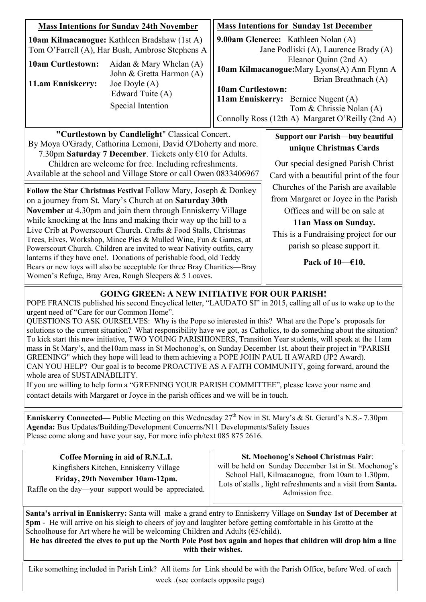| <b>Mass Intentions for Sunday 24th November</b>                                                                                                                                                                                                                                                                                                                                                                                                                                                                                                                                                                                                                                                                                                                                                                                                                                                                                                                                              |  | <b>Mass Intentions for Sunday 1st December</b>                                                                                                                                                                                                                                                                                   |                                                                                                                                                                                                                                                                                                                                                                       |
|----------------------------------------------------------------------------------------------------------------------------------------------------------------------------------------------------------------------------------------------------------------------------------------------------------------------------------------------------------------------------------------------------------------------------------------------------------------------------------------------------------------------------------------------------------------------------------------------------------------------------------------------------------------------------------------------------------------------------------------------------------------------------------------------------------------------------------------------------------------------------------------------------------------------------------------------------------------------------------------------|--|----------------------------------------------------------------------------------------------------------------------------------------------------------------------------------------------------------------------------------------------------------------------------------------------------------------------------------|-----------------------------------------------------------------------------------------------------------------------------------------------------------------------------------------------------------------------------------------------------------------------------------------------------------------------------------------------------------------------|
| <b>10am Kilmacanogue:</b> Kathleen Bradshaw (1st A)<br>Tom O'Farrell (A), Har Bush, Ambrose Stephens A<br><b>10am Curtlestown:</b><br>Aidan & Mary Whelan $(A)$<br>John & Gretta Harmon (A)<br>11.am Enniskerry:<br>Joe Doyle $(A)$<br>Edward Tuite (A)<br>Special Intention                                                                                                                                                                                                                                                                                                                                                                                                                                                                                                                                                                                                                                                                                                                 |  | 9.00am Glencree: Kathleen Nolan (A)<br>Jane Podliski (A), Laurence Brady (A)<br>Eleanor Quinn (2nd A)<br>10am Kilmacanogue: Mary Lyons(A) Ann Flynn A<br>Brian Breathnach (A)<br><b>10am Curtlestown:</b><br>11am Enniskerry: Bernice Nugent (A)<br>Tom & Chrissie Nolan (A)<br>Connolly Ross (12th A) Margaret O'Reilly (2nd A) |                                                                                                                                                                                                                                                                                                                                                                       |
| "Curtlestown by Candlelight" Classical Concert.<br>By Moya O'Grady, Cathorina Lemoni, David O'Doherty and more.<br>7.30pm Saturday 7 December. Tickets only €10 for Adults.<br>Children are welcome for free. Including refreshments.<br>Available at the school and Village Store or call Owen 0833406967<br><b>Follow the Star Christmas Festival Follow Mary, Joseph &amp; Donkey</b><br>on a journey from St. Mary's Church at on <b>Saturday 30th</b><br>November at 4.30pm and join them through Enniskerry Village<br>while knocking at the Inns and making their way up the hill to a<br>Live Crib at Powerscourt Church. Crafts & Food Stalls, Christmas<br>Trees, Elves, Workshop, Mince Pies & Mulled Wine, Fun & Games, at<br>Powerscourt Church. Children are invited to wear Nativity outfits, carry<br>lanterns if they have one!. Donations of perishable food, old Teddy<br>Pack of $10 - 610$ .<br>Bears or new toys will also be acceptable for three Bray Charities—Bray |  |                                                                                                                                                                                                                                                                                                                                  | <b>Support our Parish—buy beautiful</b><br>unique Christmas Cards<br>Our special designed Parish Christ<br>Card with a beautiful print of the four<br>Churches of the Parish are available<br>from Margaret or Joyce in the Parish<br>Offices and will be on sale at<br>11an Mass on Sunday.<br>This is a Fundraising project for our<br>parish so please support it. |

### **GOING GREEN: A NEW INITIATIVE FOR OUR PARISH!**

POPE FRANCIS published his second Encyclical letter, "LAUDATO SI" in 2015, calling all of us to wake up to the urgent need of "Care for our Common Home".

QUESTIONS TO ASK OURSELVES: Why is the Pope so interested in this? What are the Pope's proposals for solutions to the current situation? What responsibility have we got, as Catholics, to do something about the situation? To kick start this new initiative, TWO YOUNG PARISHIONERS, Transition Year students, will speak at the 11am mass in St Mary's, and the10am mass in St Mochonog's, on Sunday December 1st, about their project in "PARISH GREENING" which they hope will lead to them achieving a POPE JOHN PAUL II AWARD (JP2 Award). CAN YOU HELP? Our goal is to become PROACTIVE AS A FAITH COMMUNITY, going forward, around the whole area of SUSTAINABILITY.

If you are willing to help form a "GREENING YOUR PARISH COMMITTEE", please leave your name and contact details with Margaret or Joyce in the parish offices and we will be in touch.

**Enniskerry Connected—** Public Meeting on this Wednesday  $27<sup>th</sup>$  Nov in St. Mary's & St. Gerard's N.S.- 7.30pm **Agenda:** Bus Updates/Building/Development Concerns/N11 Developments/Safety Issues Please come along and have your say, For more info ph/text 085 875 2616.

| Coffee Morning in aid of R.N.L.I.<br>Kingfishers Kitchen, Enniskerry Village<br>Friday, 29th November 10am-12pm.<br>Raffle on the day—your support would be appreciated. | <b>St. Mochonog's School Christmas Fair:</b><br>will be held on Sunday December 1st in St. Mochonog's<br>School Hall, Kilmacanogue, from 10am to 1.30pm.<br>Lots of stalls, light refreshments and a visit from Santa.<br>Admission free. |
|--------------------------------------------------------------------------------------------------------------------------------------------------------------------------|-------------------------------------------------------------------------------------------------------------------------------------------------------------------------------------------------------------------------------------------|
|                                                                                                                                                                          |                                                                                                                                                                                                                                           |

**Santa's arrival in Enniskerry:** Santa will make a grand entry to Enniskerry Village on **Sunday 1st of December at 5pm** - He will arrive on his sleigh to cheers of joy and laughter before getting comfortable in his Grotto at the Schoolhouse for Art where he will be welcoming Children and Adults ( $\epsilon$ 5/child).

**He has directed the elves to put up the North Pole Post box again and hopes that children will drop him a line with their wishes.** 

Like something included in Parish Link? All items for Link should be with the Parish Office, before Wed. of each week .(see contacts opposite page)